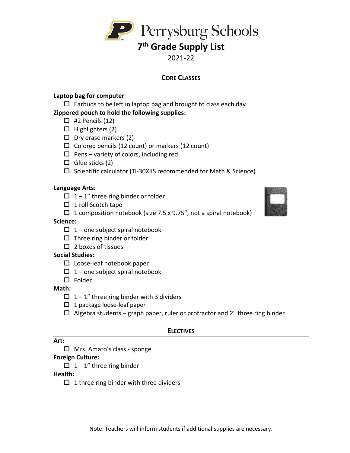

# **7th Grade Supply List**

# 2021-22

# **CORE CLASSES**

### **Laptop bag for computer**

 $\Box$  Earbuds to be left in laptop bag and brought to class each day

# **Zippered pouch to hold the following supplies:**

- $\Box$  #2 Pencils (12)
- $\Box$  Highlighters (2)
- $\Box$  Dry erase markers (2)
- $\Box$  Colored pencils (12 count) or markers (12 count)
- $\Box$  Pens variety of colors, including red
- $\Box$  Glue sticks (2)
- $\square$  Scientific calculator (TI-30XIIS recommended for Math & Science)

### **Language Arts:**

- $\Box$  1 1" three ring binder or folder
- $\Box$  1 roll Scotch tape
- $\Box$  1 composition notebook (size 7.5 x 9.75", not a spiral notebook)

### **Science:**

- $\Box$  1 one subject spiral notebook
- $\square$  Three ring binder or folder
- $\Box$  2 boxes of tissues

#### **Social Studies:**

- $\square$  Loose-leaf notebook paper
- $\Box$  1 one subject spiral notebook
- $\square$  Folder

#### **Math:**

- $\Box$  1 1" three ring binder with 3 dividers
- $\Box$  1 package loose-leaf paper
- $\Box$  Algebra students graph paper, ruler or protractor and 2" three ring binder

# **ELECTIVES**

#### **Art:**

 $\Box$  Mrs. Amato's class - sponge

#### **Foreign Culture:**

 $\Box$  1 – 1" three ring binder

#### **Health:**

 $\Box$  1 three ring binder with three dividers